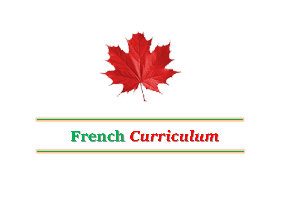

# **French** *Curriculum*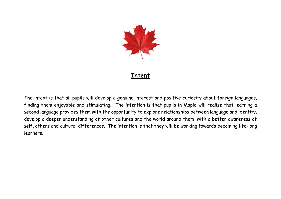

#### **Intent**

The intent is that all pupils will develop a genuine interest and positive curiosity about foreign languages, finding them enjoyable and stimulating. The intention is that pupils in Maple will realise that learning a second language provides them with the opportunity to explore relationships between language and identity, develop a deeper understanding of other cultures and the world around them, with a better awareness of self, others and cultural differences. The intention is that they will be working towards becoming life-long learners.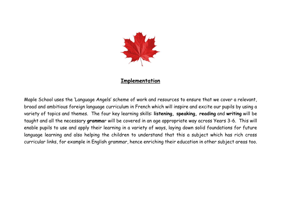

#### **Implementation**

Maple School uses the 'Language Angels' scheme of work and resources to ensure that we cover a relevant, broad and ambitious foreign language curriculum in French which will inspire and excite our pupils by using a variety of topics and themes. The four key learning skills: **listening, speaking, reading** and **writing** will be taught and all the necessary **gramma**r will be covered in an age appropriate way across Years 3-6. This will enable pupils to use and apply their learning in a variety of ways, laying down solid foundations for future language learning and also helping the children to understand that this a subject which has rich cross curricular links, for example in English grammar, hence enriching their education in other subject areas too.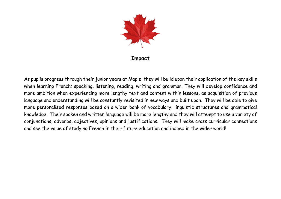

#### **Impact**

As pupils progress through their junior years at Maple, they will build upon their application of the key skills when learning French: speaking, listening, reading, writing and grammar. They will develop confidence and more ambition when experiencing more lengthy text and content within lessons, as acquisition of previous language and understanding will be constantly revisited in new ways and built upon. They will be able to give more personalised responses based on a wider bank of vocabulary, linguistic structures and grammatical knowledge. Their spoken and written language will be more lengthy and they will attempt to use a variety of conjunctions, adverbs, adjectives, opinions and justifications. They will make cross curricular connections and see the value of studying French in their future education and indeed in the wider world!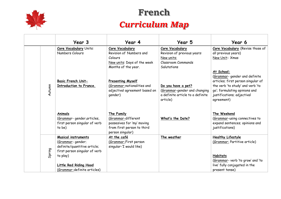

## **French**

### *Curriculum Map*

|        | Year 3                                                                                                                                                       | Year 4                                                                                                                    | Year 5                                                                                                            | Year 6                                                                                                                                                                                             |
|--------|--------------------------------------------------------------------------------------------------------------------------------------------------------------|---------------------------------------------------------------------------------------------------------------------------|-------------------------------------------------------------------------------------------------------------------|----------------------------------------------------------------------------------------------------------------------------------------------------------------------------------------------------|
|        | <b>Core Vocabulary Units:</b><br>Numbers Colours                                                                                                             | Core Vocabulary<br>Revision of Numbers and<br>Colours<br>New units: Days of the week                                      | Core Vocabulary<br>Revision of previous years:<br>New units:<br>Classroom Commands                                | Core Vocabulary (Revise those of<br>all previous years)<br>New Unit: Xmas                                                                                                                          |
| Autumn | <b>Basic French Unit-</b><br>Introduction to France.                                                                                                         | Months of the year.<br><b>Presenting Myself</b><br>(Grammar-nationalities and<br>adjectival agreement based on<br>gender) | Salutations<br>Do you have a pet?<br>(Grammar-gender and changing<br>a definite article to a definite<br>article) | At School:<br>(Grammar- gender and definite<br>articles; first person singular of<br>the verb 'to study' and verb 'to<br>go'; formulating opinions and<br>justifications; adjectival<br>agreement) |
|        | Animals<br>(Grammar-gender, articles,<br>first person singular of verb<br>to be)                                                                             | The Family<br>(Grammar-different<br>possesives for 'my' moving<br>from first person to third<br>person singular)          | What's the Date?                                                                                                  | The Weekend<br>(Grammar-using connectives to<br>expand sentences; opinions and<br>justifications)                                                                                                  |
| Spring | <b>Musical instruments</b><br>(Grammar-gender;<br>definite/quantitive article;<br>first person singular of verb<br>to play)<br><b>Little Red Riding Hood</b> | At the café<br>(Grammar-First person<br>singular-'I would like)                                                           | The weather                                                                                                       | <b>Healthy Lifestyle</b><br>(Grammar: Partitive article)<br><b>Habitats</b><br>(Grammar- verb 'to grow' and 'to<br>live' fully conjugated in the                                                   |
|        | (Grammar-definite articles)                                                                                                                                  |                                                                                                                           |                                                                                                                   | present tense)                                                                                                                                                                                     |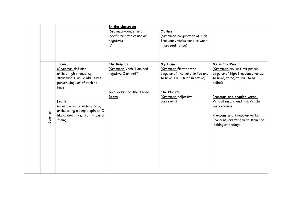|        |                                                                                                                                                                                                                                                                   | In the classroom<br>(Grammar-gender and<br>indefinite article; use of<br>negative)<br>$\cdots$            | <b>Clothes</b><br>(Grammar-conjugation of high<br>frequency verbs-verb to wear<br>in present tense)                                                        |                                                                                                                                                                                                                                                                                                               |
|--------|-------------------------------------------------------------------------------------------------------------------------------------------------------------------------------------------------------------------------------------------------------------------|-----------------------------------------------------------------------------------------------------------|------------------------------------------------------------------------------------------------------------------------------------------------------------|---------------------------------------------------------------------------------------------------------------------------------------------------------------------------------------------------------------------------------------------------------------------------------------------------------------|
| Summer | I can<br>(Grammar-definite<br>article;high frequency<br>structure 'I would like; first<br>person singular of verb to<br>have)<br><b>Fruits</b><br>(Grammar-indefinite article;<br>articulating a simple opinion-'I<br>like/I don't like; fruit in plural<br>form) | The Romans<br>(Grammar-Verb 'I am and<br>negative 'I am not')<br>Goldilocks and the Three<br><b>Bears</b> | My Home<br>(Grammar-first person<br>singular of the verb to live and<br>to have. Full use of negative)<br>The Planets<br>(Grammar-Adjectival<br>agreement) | Me in the World<br>(Grammar-revise first person<br>singular of high frequency verbs:<br>to have, to be, to live, to be<br>called)<br>Pronouns and regular verbs:<br>Verb stem and endings. Regular<br>verb endings<br>Pronouns and irregular verbs:<br>Pronouns; creating verb stem and<br>looking at endings |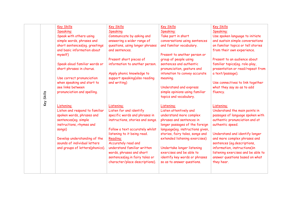|            | <b>Key Skills</b><br>Speaking:<br>Speak with others using<br>simple words, phrases and<br>short sentences(eq. greetings<br>and basic information about<br>myself)<br>Speak aloud familiar words or<br>short phrases in chorus.<br>Use correct pronunciation<br>when speaking and start to<br>see links between | <b>Key Skills</b><br>Speaking<br>Communicate by asking and<br>answering a wider range of<br>questions, using longer phrases<br>and sentences.<br>Present short pieces of<br>information to another person.<br>Apply phonic knowledge to<br>support speaking(also reading<br>and writing)                                                              | <b>Key Skills</b><br>Speaking:<br>Take part in short<br>conversations using sentences<br>and familiar vocabulary.<br>Present to another person or<br>group of people using<br>sentences and authentic<br>pronunciation, gesture and<br>intonation to convey accurate<br>meaning.<br>Understand and express                                                            | <b>Key Skills</b><br>Speaking:<br>Use spoken language to initiate<br>and sustain simple conversations<br>on familiar topics or tell stories<br>from their own experience.<br>Present to an audience about<br>familiar topics(eq. role-play,<br>presentation or read/repeat from<br>a text/passage).<br>Use connectives to link together<br>what they say so as to add |
|------------|----------------------------------------------------------------------------------------------------------------------------------------------------------------------------------------------------------------------------------------------------------------------------------------------------------------|-------------------------------------------------------------------------------------------------------------------------------------------------------------------------------------------------------------------------------------------------------------------------------------------------------------------------------------------------------|-----------------------------------------------------------------------------------------------------------------------------------------------------------------------------------------------------------------------------------------------------------------------------------------------------------------------------------------------------------------------|-----------------------------------------------------------------------------------------------------------------------------------------------------------------------------------------------------------------------------------------------------------------------------------------------------------------------------------------------------------------------|
| Key Skills | pronunciation and spelling.                                                                                                                                                                                                                                                                                    |                                                                                                                                                                                                                                                                                                                                                       | simple opinions using familiar<br>topics and vocabulary.                                                                                                                                                                                                                                                                                                              | fluency.                                                                                                                                                                                                                                                                                                                                                              |
|            | Listening:<br>Listen and respond to familiar<br>spoken words, phrases and<br>sentences(eq. simple<br>instructions, rhymes and<br>songs)<br>Develop understanding of the<br>sounds of individual letters<br>and groups of letters(phonics).                                                                     | <b>Listening:</b><br>Listen for and identify<br>specific words and phrases in<br>instructions, stories and songs.<br>Follow a text accurately whilst<br>listening to it being read.<br>Reading:<br>Accurately read and<br>understand familiar written<br>words, phrases and short<br>sentences(eg.in fairy tales or<br>character/place descriptions). | <b>Listening:</b><br>Listen attentively and<br>understand more complex<br>phrases and sentences in<br>longer passages of the foreign<br>language(eq. instructions given,<br>stories, fairy tales, songs and<br>extended listening exercises)<br>Undertake longer listening<br>exercises and be able to<br>identify key words or phrases<br>so as to answer questions. | <b>Listening:</b><br>Understand the main points in<br>passages of language spoken with<br>authentic pronunciation and at<br>authentic speed.<br>Understand and identify longer<br>and more complex phrases and<br>sentences (eg.descriptions,<br>information, instructions)in<br>listening exercises and be able to<br>answer questions based on what<br>they hear.   |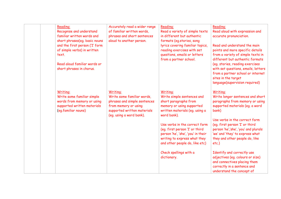| Reading:<br>Recognise and understand<br>familiar written words and<br>short phrases(eq. basic nouns<br>and the first person ('I' form<br>of simple verbs) in written<br>text.<br>Read aloud familiar words or<br>short phrases in chorus. | Accurately read a wider range<br>of familiar written words,<br>phrases and short sentences<br>aloud to another person.                                    | Reading:<br>Read a variety of simple texts<br>in different but authentic<br>formats (eq.stories, song<br>lyrics covering familiar topics,<br>reading exercises with set<br>questions, emails or letters<br>from a partner school. | Reading:<br>Read aloud with expression and<br>accurate pronunciation.<br>Read and understand the main<br>points and more specific details<br>from a variety of simple texts in<br>different but authentic formats<br>(eg. stories, reading exercises<br>with set questions, emails, letters<br>from a partner school or internet<br>sites in the target<br>language(supervision required) |
|-------------------------------------------------------------------------------------------------------------------------------------------------------------------------------------------------------------------------------------------|-----------------------------------------------------------------------------------------------------------------------------------------------------------|-----------------------------------------------------------------------------------------------------------------------------------------------------------------------------------------------------------------------------------|-------------------------------------------------------------------------------------------------------------------------------------------------------------------------------------------------------------------------------------------------------------------------------------------------------------------------------------------------------------------------------------------|
| Writing:<br>Write some familiar simple<br>words from memory or using<br>supported written materials<br>(eq.familiar nouns)                                                                                                                | Writing:<br>Write some familiar words,<br>phrases and simple sentences<br>from memory or using<br>supported written materials<br>(eq. using a word bank). | Writing:<br>Write simple sentences and<br>short paragraphs from<br>memory or using supported<br>written materials (eq. using a<br>word bank).                                                                                     | Writing:<br>Write longer sentences and short<br>paragraphs from memory or using<br>supported materials (eq. a word<br>bank)                                                                                                                                                                                                                                                               |
|                                                                                                                                                                                                                                           |                                                                                                                                                           | Use verbs in the correct form<br>(eg. first person 'I' or third<br>person 'he', 'she', 'you' in their<br>writing to express what they<br>and other people do, like etc)                                                           | Use verbs in the correct form<br>(eq. first person 'I' or third<br>person 'he','she', 'you' and plurals<br>'we' and 'they' to express what<br>they and other people do, like<br>$etc.$ )                                                                                                                                                                                                  |
|                                                                                                                                                                                                                                           |                                                                                                                                                           | Check spellings with a<br>dictionary.                                                                                                                                                                                             | Identify and correctly use<br>adjectives (eg. colours or size)<br>and connectives placing them<br>correctly in a sentence and<br>understand the concept of                                                                                                                                                                                                                                |